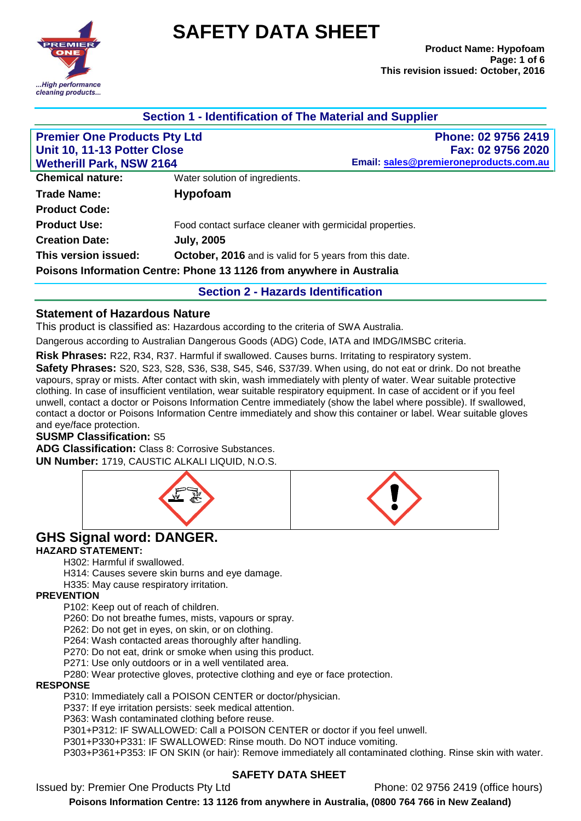

# **SAFETY DATA SHEET**

| Section 1 - Identification of The Material and Supplier        |                                                                      |                                                             |
|----------------------------------------------------------------|----------------------------------------------------------------------|-------------------------------------------------------------|
| <b>Premier One Products Pty Ltd</b>                            |                                                                      | Phone: 02 9756 2419                                         |
| Unit 10, 11-13 Potter Close<br><b>Wetherill Park, NSW 2164</b> |                                                                      | Fax: 02 9756 2020<br>Email: sales@premieroneproducts.com.au |
|                                                                |                                                                      |                                                             |
| <b>Trade Name:</b>                                             | <b>Hypofoam</b>                                                      |                                                             |
| <b>Product Code:</b>                                           |                                                                      |                                                             |
| <b>Product Use:</b>                                            |                                                                      | Food contact surface cleaner with germicidal properties.    |
| <b>Creation Date:</b>                                          | <b>July, 2005</b>                                                    |                                                             |
| This version issued:                                           |                                                                      | October, 2016 and is valid for 5 years from this date.      |
|                                                                | Poisons Information Centre: Phone 13 1126 from anywhere in Australia |                                                             |
|                                                                |                                                                      | <b>Section 2 - Hazards Identification</b>                   |

## **Statement of Hazardous Nature**

This product is classified as: Hazardous according to the criteria of SWA Australia.

Dangerous according to Australian Dangerous Goods (ADG) Code, IATA and IMDG/IMSBC criteria.

**Risk Phrases:** R22, R34, R37. Harmful if swallowed. Causes burns. Irritating to respiratory system.

**Safety Phrases:** S20, S23, S28, S36, S38, S45, S46, S37/39. When using, do not eat or drink. Do not breathe vapours, spray or mists. After contact with skin, wash immediately with plenty of water. Wear suitable protective clothing. In case of insufficient ventilation, wear suitable respiratory equipment. In case of accident or if you feel unwell, contact a doctor or Poisons Information Centre immediately (show the label where possible). If swallowed, contact a doctor or Poisons Information Centre immediately and show this container or label. Wear suitable gloves and eye/face protection.

#### **SUSMP Classification:** S5

**ADG Classification:** Class 8: Corrosive Substances. **UN Number:** 1719, CAUSTIC ALKALI LIQUID, N.O.S.



# **GHS Signal word: DANGER.**

# **HAZARD STATEMENT:**

H302: Harmful if swallowed.

H314: Causes severe skin burns and eye damage.

H335: May cause respiratory irritation.

## **PREVENTION**

P102: Keep out of reach of children.

P260: Do not breathe fumes, mists, vapours or spray.

P262: Do not get in eyes, on skin, or on clothing.

P264: Wash contacted areas thoroughly after handling.

P270: Do not eat, drink or smoke when using this product.

P271: Use only outdoors or in a well ventilated area.

P280: Wear protective gloves, protective clothing and eye or face protection.

#### **RESPONSE**

P310: Immediately call a POISON CENTER or doctor/physician.

P337: If eye irritation persists: seek medical attention.

P363: Wash contaminated clothing before reuse.

P301+P312: IF SWALLOWED: Call a POISON CENTER or doctor if you feel unwell.

P301+P330+P331: IF SWALLOWED: Rinse mouth. Do NOT induce vomiting.

P303+P361+P353: IF ON SKIN (or hair): Remove immediately all contaminated clothing. Rinse skin with water.

## **SAFETY DATA SHEET**

Issued by: Premier One Products Pty Ltd Phone: 02 9756 2419 (office hours)

**Poisons Information Centre: 13 1126 from anywhere in Australia, (0800 764 766 in New Zealand)**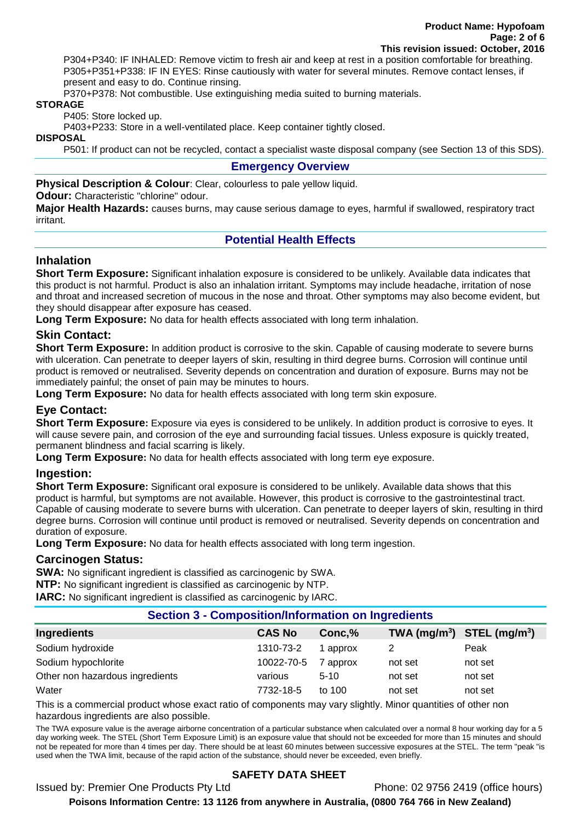P304+P340: IF INHALED: Remove victim to fresh air and keep at rest in a position comfortable for breathing. P305+P351+P338: IF IN EYES: Rinse cautiously with water for several minutes. Remove contact lenses, if present and easy to do. Continue rinsing.

P370+P378: Not combustible. Use extinguishing media suited to burning materials.

#### **STORAGE**

P405: Store locked up.

P403+P233: Store in a well-ventilated place. Keep container tightly closed.

#### **DISPOSAL**

P501: If product can not be recycled, contact a specialist waste disposal company (see Section 13 of this SDS).

## **Emergency Overview**

**Physical Description & Colour:** Clear, colourless to pale yellow liquid.

**Odour:** Characteristic "chlorine" odour.

**Major Health Hazards:** causes burns, may cause serious damage to eyes, harmful if swallowed, respiratory tract irritant.

# **Potential Health Effects**

# **Inhalation**

**Short Term Exposure:** Significant inhalation exposure is considered to be unlikely. Available data indicates that this product is not harmful. Product is also an inhalation irritant. Symptoms may include headache, irritation of nose and throat and increased secretion of mucous in the nose and throat. Other symptoms may also become evident, but they should disappear after exposure has ceased.

**Long Term Exposure:** No data for health effects associated with long term inhalation.

# **Skin Contact:**

**Short Term Exposure:** In addition product is corrosive to the skin. Capable of causing moderate to severe burns with ulceration. Can penetrate to deeper layers of skin, resulting in third degree burns. Corrosion will continue until product is removed or neutralised. Severity depends on concentration and duration of exposure. Burns may not be immediately painful; the onset of pain may be minutes to hours.

**Long Term Exposure:** No data for health effects associated with long term skin exposure.

# **Eye Contact:**

**Short Term Exposure:** Exposure via eyes is considered to be unlikely. In addition product is corrosive to eyes. It will cause severe pain, and corrosion of the eye and surrounding facial tissues. Unless exposure is quickly treated, permanent blindness and facial scarring is likely.

**Long Term Exposure:** No data for health effects associated with long term eye exposure.

# **Ingestion:**

**Short Term Exposure:** Significant oral exposure is considered to be unlikely. Available data shows that this product is harmful, but symptoms are not available. However, this product is corrosive to the gastrointestinal tract. Capable of causing moderate to severe burns with ulceration. Can penetrate to deeper layers of skin, resulting in third degree burns. Corrosion will continue until product is removed or neutralised. Severity depends on concentration and duration of exposure.

**Long Term Exposure:** No data for health effects associated with long term ingestion.

## **Carcinogen Status:**

**SWA:** No significant ingredient is classified as carcinogenic by SWA.

**NTP:** No significant ingredient is classified as carcinogenic by NTP.

**IARC:** No significant ingredient is classified as carcinogenic by IARC.

## **Section 3 - Composition/Information on Ingredients**

| Ingredients                     | <b>CAS No</b> | Conc,%   | TWA $(mg/m^3)$ STEL $(mg/m^3)$ |         |
|---------------------------------|---------------|----------|--------------------------------|---------|
| Sodium hydroxide                | 1310-73-2     | approx   |                                | Peak    |
| Sodium hypochlorite             | 10022-70-5    | ' approx | not set                        | not set |
| Other non hazardous ingredients | various       | $5 - 10$ | not set                        | not set |
| Water                           | 7732-18-5     | to 100   | not set                        | not set |

This is a commercial product whose exact ratio of components may vary slightly. Minor quantities of other non hazardous ingredients are also possible.

The TWA exposure value is the average airborne concentration of a particular substance when calculated over a normal 8 hour working day for a 5 day working week. The STEL (Short Term Exposure Limit) is an exposure value that should not be exceeded for more than 15 minutes and should not be repeated for more than 4 times per day. There should be at least 60 minutes between successive exposures at the STEL. The term "peak "is used when the TWA limit, because of the rapid action of the substance, should never be exceeded, even briefly.

# **SAFETY DATA SHEET**

Issued by: Premier One Products Pty Ltd Phone: 02 9756 2419 (office hours)

**Poisons Information Centre: 13 1126 from anywhere in Australia, (0800 764 766 in New Zealand)**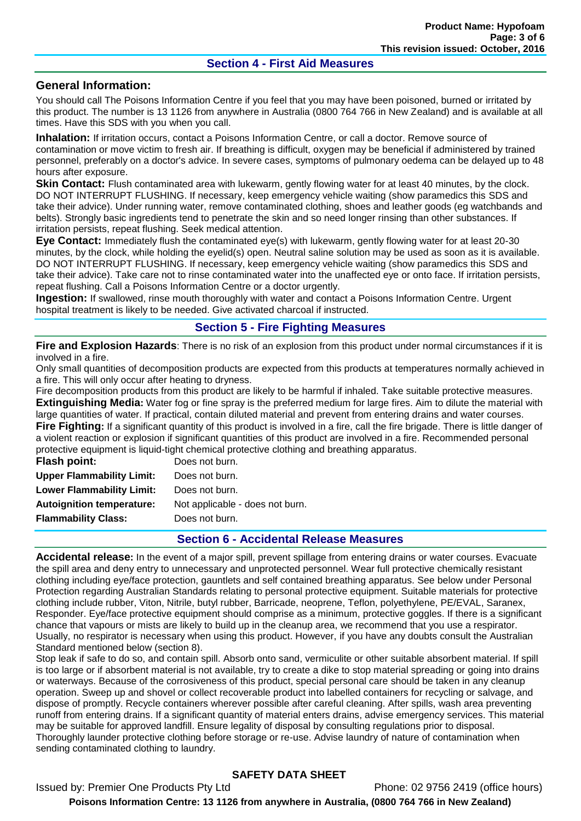## **Section 4 - First Aid Measures**

## **General Information:**

You should call The Poisons Information Centre if you feel that you may have been poisoned, burned or irritated by this product. The number is 13 1126 from anywhere in Australia (0800 764 766 in New Zealand) and is available at all times. Have this SDS with you when you call.

**Inhalation:** If irritation occurs, contact a Poisons Information Centre, or call a doctor. Remove source of contamination or move victim to fresh air. If breathing is difficult, oxygen may be beneficial if administered by trained personnel, preferably on a doctor's advice. In severe cases, symptoms of pulmonary oedema can be delayed up to 48 hours after exposure.

**Skin Contact:** Flush contaminated area with lukewarm, gently flowing water for at least 40 minutes, by the clock. DO NOT INTERRUPT FLUSHING. If necessary, keep emergency vehicle waiting (show paramedics this SDS and take their advice). Under running water, remove contaminated clothing, shoes and leather goods (eg watchbands and belts). Strongly basic ingredients tend to penetrate the skin and so need longer rinsing than other substances. If irritation persists, repeat flushing. Seek medical attention.

**Eye Contact:** Immediately flush the contaminated eye(s) with lukewarm, gently flowing water for at least 20-30 minutes, by the clock, while holding the eyelid(s) open. Neutral saline solution may be used as soon as it is available. DO NOT INTERRUPT FLUSHING. If necessary, keep emergency vehicle waiting (show paramedics this SDS and take their advice). Take care not to rinse contaminated water into the unaffected eye or onto face. If irritation persists, repeat flushing. Call a Poisons Information Centre or a doctor urgently.

**Ingestion:** If swallowed, rinse mouth thoroughly with water and contact a Poisons Information Centre. Urgent hospital treatment is likely to be needed. Give activated charcoal if instructed.

## **Section 5 - Fire Fighting Measures**

**Fire and Explosion Hazards**: There is no risk of an explosion from this product under normal circumstances if it is involved in a fire.

Only small quantities of decomposition products are expected from this products at temperatures normally achieved in a fire. This will only occur after heating to dryness.

Fire decomposition products from this product are likely to be harmful if inhaled. Take suitable protective measures. **Extinguishing Media:** Water fog or fine spray is the preferred medium for large fires. Aim to dilute the material with large quantities of water. If practical, contain diluted material and prevent from entering drains and water courses. **Fire Fighting:** If a significant quantity of this product is involved in a fire, call the fire brigade. There is little danger of a violent reaction or explosion if significant quantities of this product are involved in a fire. Recommended personal protective equipment is liquid-tight chemical protective clothing and breathing apparatus.

| <b>Flash point:</b>              | Does not burn.                  |
|----------------------------------|---------------------------------|
| <b>Upper Flammability Limit:</b> | Does not burn.                  |
| <b>Lower Flammability Limit:</b> | Does not burn.                  |
| <b>Autoignition temperature:</b> | Not applicable - does not burn. |
| <b>Flammability Class:</b>       | Does not burn.                  |
|                                  |                                 |

## **Section 6 - Accidental Release Measures**

**Accidental release:** In the event of a major spill, prevent spillage from entering drains or water courses. Evacuate the spill area and deny entry to unnecessary and unprotected personnel. Wear full protective chemically resistant clothing including eye/face protection, gauntlets and self contained breathing apparatus. See below under Personal Protection regarding Australian Standards relating to personal protective equipment. Suitable materials for protective clothing include rubber, Viton, Nitrile, butyl rubber, Barricade, neoprene, Teflon, polyethylene, PE/EVAL, Saranex, Responder. Eye/face protective equipment should comprise as a minimum, protective goggles. If there is a significant chance that vapours or mists are likely to build up in the cleanup area, we recommend that you use a respirator. Usually, no respirator is necessary when using this product. However, if you have any doubts consult the Australian Standard mentioned below (section 8).

Stop leak if safe to do so, and contain spill. Absorb onto sand, vermiculite or other suitable absorbent material. If spill is too large or if absorbent material is not available, try to create a dike to stop material spreading or going into drains or waterways. Because of the corrosiveness of this product, special personal care should be taken in any cleanup operation. Sweep up and shovel or collect recoverable product into labelled containers for recycling or salvage, and dispose of promptly. Recycle containers wherever possible after careful cleaning. After spills, wash area preventing runoff from entering drains. If a significant quantity of material enters drains, advise emergency services. This material may be suitable for approved landfill. Ensure legality of disposal by consulting regulations prior to disposal. Thoroughly launder protective clothing before storage or re-use. Advise laundry of nature of contamination when sending contaminated clothing to laundry.

# **SAFETY DATA SHEET**

Issued by: Premier One Products Pty Ltd Phone: 02 9756 2419 (office hours) **Poisons Information Centre: 13 1126 from anywhere in Australia, (0800 764 766 in New Zealand)**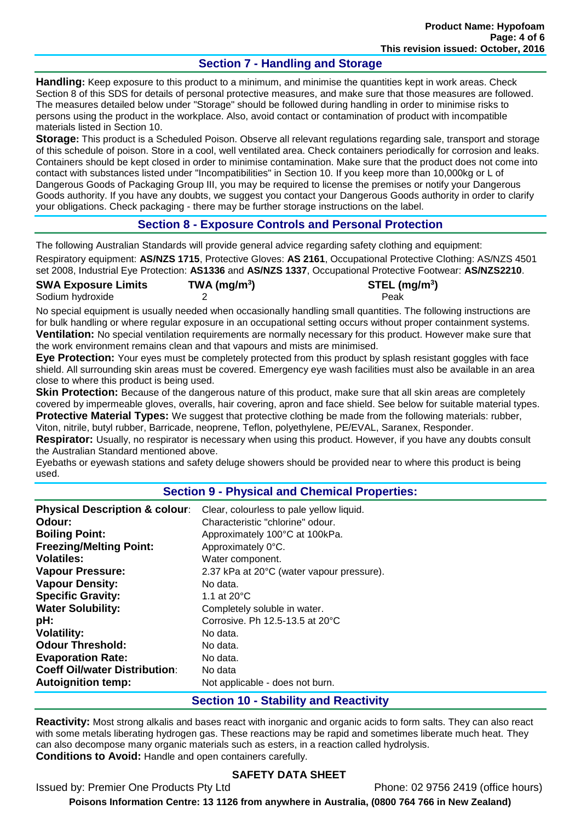# **Section 7 - Handling and Storage**

**Handling:** Keep exposure to this product to a minimum, and minimise the quantities kept in work areas. Check Section 8 of this SDS for details of personal protective measures, and make sure that those measures are followed. The measures detailed below under "Storage" should be followed during handling in order to minimise risks to persons using the product in the workplace. Also, avoid contact or contamination of product with incompatible materials listed in Section 10.

**Storage:** This product is a Scheduled Poison. Observe all relevant regulations regarding sale, transport and storage of this schedule of poison. Store in a cool, well ventilated area. Check containers periodically for corrosion and leaks. Containers should be kept closed in order to minimise contamination. Make sure that the product does not come into contact with substances listed under "Incompatibilities" in Section 10. If you keep more than 10,000kg or L of Dangerous Goods of Packaging Group III, you may be required to license the premises or notify your Dangerous Goods authority. If you have any doubts, we suggest you contact your Dangerous Goods authority in order to clarify your obligations. Check packaging - there may be further storage instructions on the label.

## **Section 8 - Exposure Controls and Personal Protection**

The following Australian Standards will provide general advice regarding safety clothing and equipment:

Respiratory equipment: **AS/NZS 1715**, Protective Gloves: **AS 2161**, Occupational Protective Clothing: AS/NZS 4501 set 2008, Industrial Eye Protection: **AS1336** and **AS/NZS 1337**, Occupational Protective Footwear: **AS/NZS2210**.

| <b>SWA Exposure Limits</b> | $TWA$ (mg/m <sup>3</sup> ) | STEL $(mg/m3)$ |
|----------------------------|----------------------------|----------------|
| Sodium hydroxide           |                            | Peak           |
|                            |                            |                |

No special equipment is usually needed when occasionally handling small quantities. The following instructions are for bulk handling or where regular exposure in an occupational setting occurs without proper containment systems. **Ventilation:** No special ventilation requirements are normally necessary for this product. However make sure that the work environment remains clean and that vapours and mists are minimised.

**Eye Protection:** Your eyes must be completely protected from this product by splash resistant goggles with face shield. All surrounding skin areas must be covered. Emergency eye wash facilities must also be available in an area close to where this product is being used.

**Skin Protection:** Because of the dangerous nature of this product, make sure that all skin areas are completely covered by impermeable gloves, overalls, hair covering, apron and face shield. See below for suitable material types. **Protective Material Types:** We suggest that protective clothing be made from the following materials: rubber,

Viton, nitrile, butyl rubber, Barricade, neoprene, Teflon, polyethylene, PE/EVAL, Saranex, Responder.

**Respirator:** Usually, no respirator is necessary when using this product. However, if you have any doubts consult the Australian Standard mentioned above.

Eyebaths or eyewash stations and safety deluge showers should be provided near to where this product is being used.

# **Section 9 - Physical and Chemical Properties:**

| <b>Physical Description &amp; colour:</b> | Clear, colourless to pale yellow liquid.  |
|-------------------------------------------|-------------------------------------------|
| Odour:                                    | Characteristic "chlorine" odour.          |
| <b>Boiling Point:</b>                     | Approximately 100°C at 100kPa.            |
| <b>Freezing/Melting Point:</b>            | Approximately 0°C.                        |
| <b>Volatiles:</b>                         | Water component.                          |
| <b>Vapour Pressure:</b>                   | 2.37 kPa at 20°C (water vapour pressure). |
| <b>Vapour Density:</b>                    | No data.                                  |
| <b>Specific Gravity:</b>                  | 1.1 at $20^{\circ}$ C                     |
| <b>Water Solubility:</b>                  | Completely soluble in water.              |
| pH:                                       | Corrosive. Ph 12.5-13.5 at 20°C           |
| <b>Volatility:</b>                        | No data.                                  |
| <b>Odour Threshold:</b>                   | No data.                                  |
| <b>Evaporation Rate:</b>                  | No data.                                  |
| <b>Coeff Oil/water Distribution:</b>      | No data                                   |
| <b>Autoignition temp:</b>                 | Not applicable - does not burn.           |

## **Section 10 - Stability and Reactivity**

**Reactivity:** Most strong alkalis and bases react with inorganic and organic acids to form salts. They can also react with some metals liberating hydrogen gas. These reactions may be rapid and sometimes liberate much heat. They can also decompose many organic materials such as esters, in a reaction called hydrolysis. **Conditions to Avoid:** Handle and open containers carefully.

# **SAFETY DATA SHEET**

Issued by: Premier One Products Pty Ltd Phone: 02 9756 2419 (office hours) **Poisons Information Centre: 13 1126 from anywhere in Australia, (0800 764 766 in New Zealand)**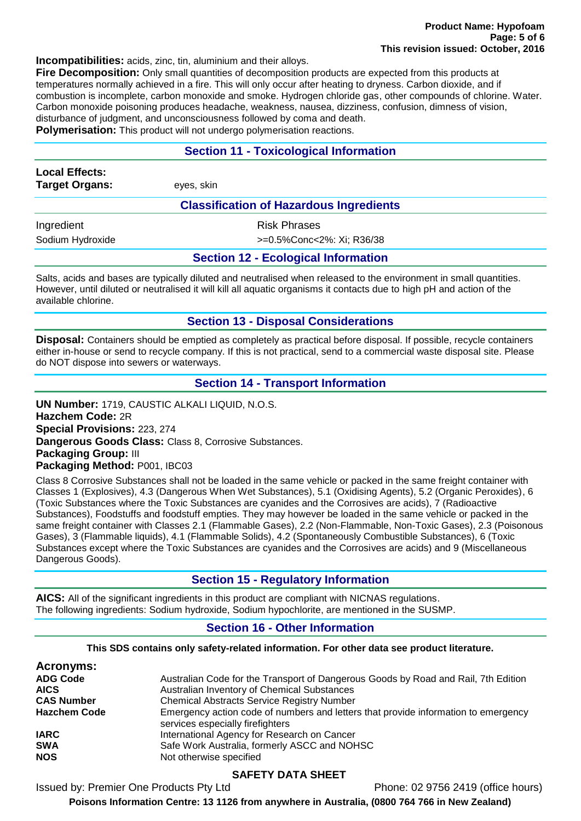**Incompatibilities:** acids, zinc, tin, aluminium and their alloys.

**Fire Decomposition:** Only small quantities of decomposition products are expected from this products at temperatures normally achieved in a fire. This will only occur after heating to dryness. Carbon dioxide, and if combustion is incomplete, carbon monoxide and smoke. Hydrogen chloride gas, other compounds of chlorine. Water. Carbon monoxide poisoning produces headache, weakness, nausea, dizziness, confusion, dimness of vision, disturbance of judgment, and unconsciousness followed by coma and death.

**Polymerisation:** This product will not undergo polymerisation reactions.

#### **Section 11 - Toxicological Information**

| <b>Local Effects:</b><br><b>Target Organs:</b> | eyes, skin                |  |
|------------------------------------------------|---------------------------|--|
| <b>Classification of Hazardous Ingredients</b> |                           |  |
| Ingredient                                     | <b>Risk Phrases</b>       |  |
| Sodium Hydroxide                               | >=0.5%Conc<2%: Xi; R36/38 |  |
| <b>Section 12 - Ecological Information</b>     |                           |  |

Salts, acids and bases are typically diluted and neutralised when released to the environment in small quantities. However, until diluted or neutralised it will kill all aquatic organisms it contacts due to high pH and action of the available chlorine.

#### **Section 13 - Disposal Considerations**

**Disposal:** Containers should be emptied as completely as practical before disposal. If possible, recycle containers either in-house or send to recycle company. If this is not practical, send to a commercial waste disposal site. Please do NOT dispose into sewers or waterways.

#### **Section 14 - Transport Information**

**UN Number:** 1719, CAUSTIC ALKALI LIQUID, N.O.S. **Hazchem Code:** 2R **Special Provisions:** 223, 274 **Dangerous Goods Class:** Class 8, Corrosive Substances. **Packaging Group:** III **Packaging Method:** P001, IBC03

Class 8 Corrosive Substances shall not be loaded in the same vehicle or packed in the same freight container with Classes 1 (Explosives), 4.3 (Dangerous When Wet Substances), 5.1 (Oxidising Agents), 5.2 (Organic Peroxides), 6 (Toxic Substances where the Toxic Substances are cyanides and the Corrosives are acids), 7 (Radioactive Substances), Foodstuffs and foodstuff empties. They may however be loaded in the same vehicle or packed in the same freight container with Classes 2.1 (Flammable Gases), 2.2 (Non-Flammable, Non-Toxic Gases), 2.3 (Poisonous Gases), 3 (Flammable liquids), 4.1 (Flammable Solids), 4.2 (Spontaneously Combustible Substances), 6 (Toxic Substances except where the Toxic Substances are cyanides and the Corrosives are acids) and 9 (Miscellaneous Dangerous Goods).

#### **Section 15 - Regulatory Information**

**AICS:** All of the significant ingredients in this product are compliant with NICNAS regulations. The following ingredients: Sodium hydroxide, Sodium hypochlorite, are mentioned in the SUSMP.

#### **Section 16 - Other Information**

**This SDS contains only safety-related information. For other data see product literature.**

| <b>Acronyms:</b>    |                                                                                                                        |
|---------------------|------------------------------------------------------------------------------------------------------------------------|
| <b>ADG Code</b>     | Australian Code for the Transport of Dangerous Goods by Road and Rail, 7th Edition                                     |
| <b>AICS</b>         | Australian Inventory of Chemical Substances                                                                            |
| <b>CAS Number</b>   | <b>Chemical Abstracts Service Registry Number</b>                                                                      |
| <b>Hazchem Code</b> | Emergency action code of numbers and letters that provide information to emergency<br>services especially firefighters |
| <b>IARC</b>         | International Agency for Research on Cancer                                                                            |
| <b>SWA</b>          | Safe Work Australia, formerly ASCC and NOHSC                                                                           |
| <b>NOS</b>          | Not otherwise specified                                                                                                |

#### **SAFETY DATA SHEET**

Issued by: Premier One Products Pty Ltd Phone: 02 9756 2419 (office hours)

**Poisons Information Centre: 13 1126 from anywhere in Australia, (0800 764 766 in New Zealand)**